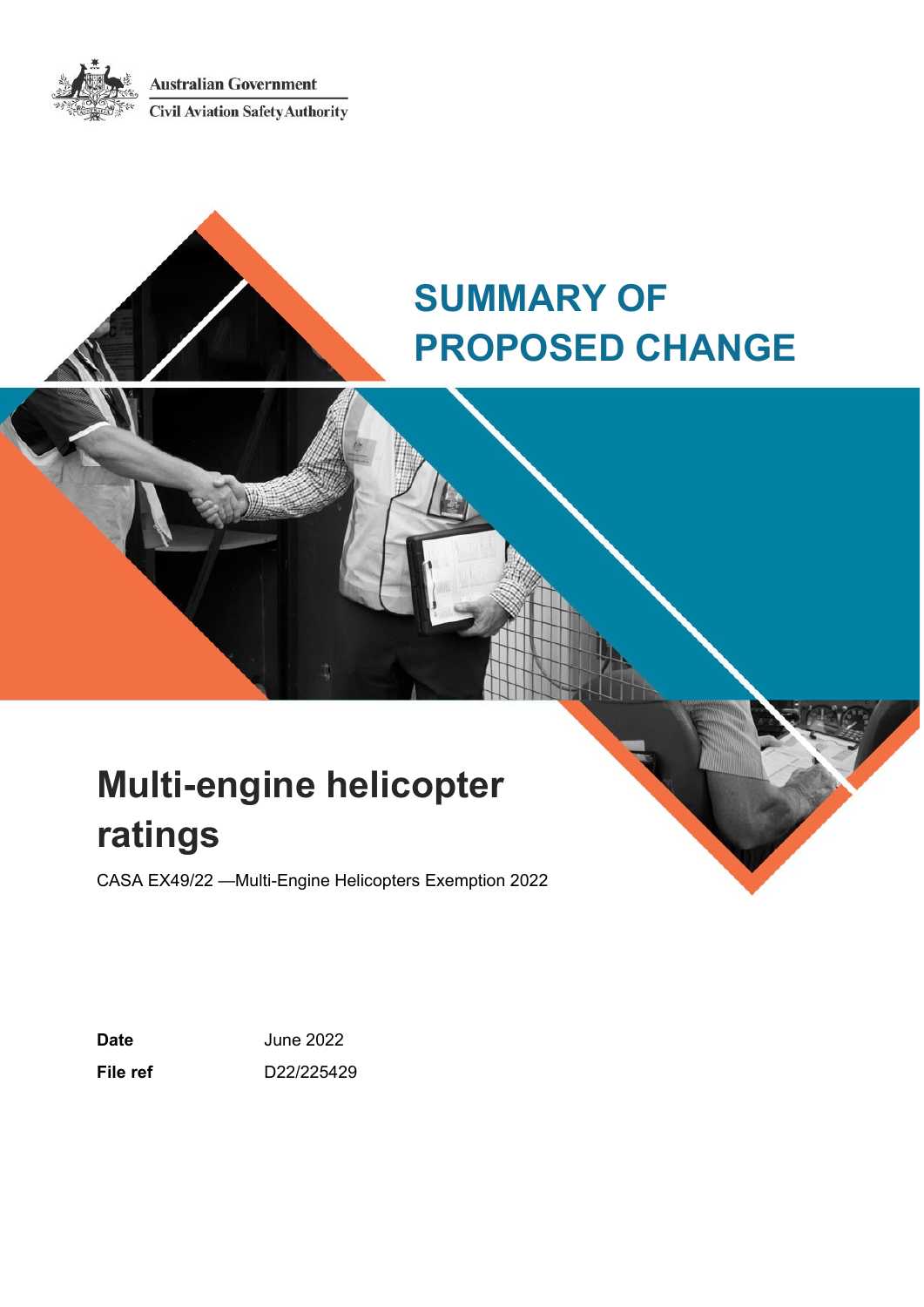**Australian Government Civil Aviation Safety Authority** 



# **SUMMARY OF PROPOSED CHANGE**

# **Multi-engine helicopter ratings**

CASA EX49/22 —Multi-Engine Helicopters Exemption 2022

**Date** June 2022 **File ref** D22/225429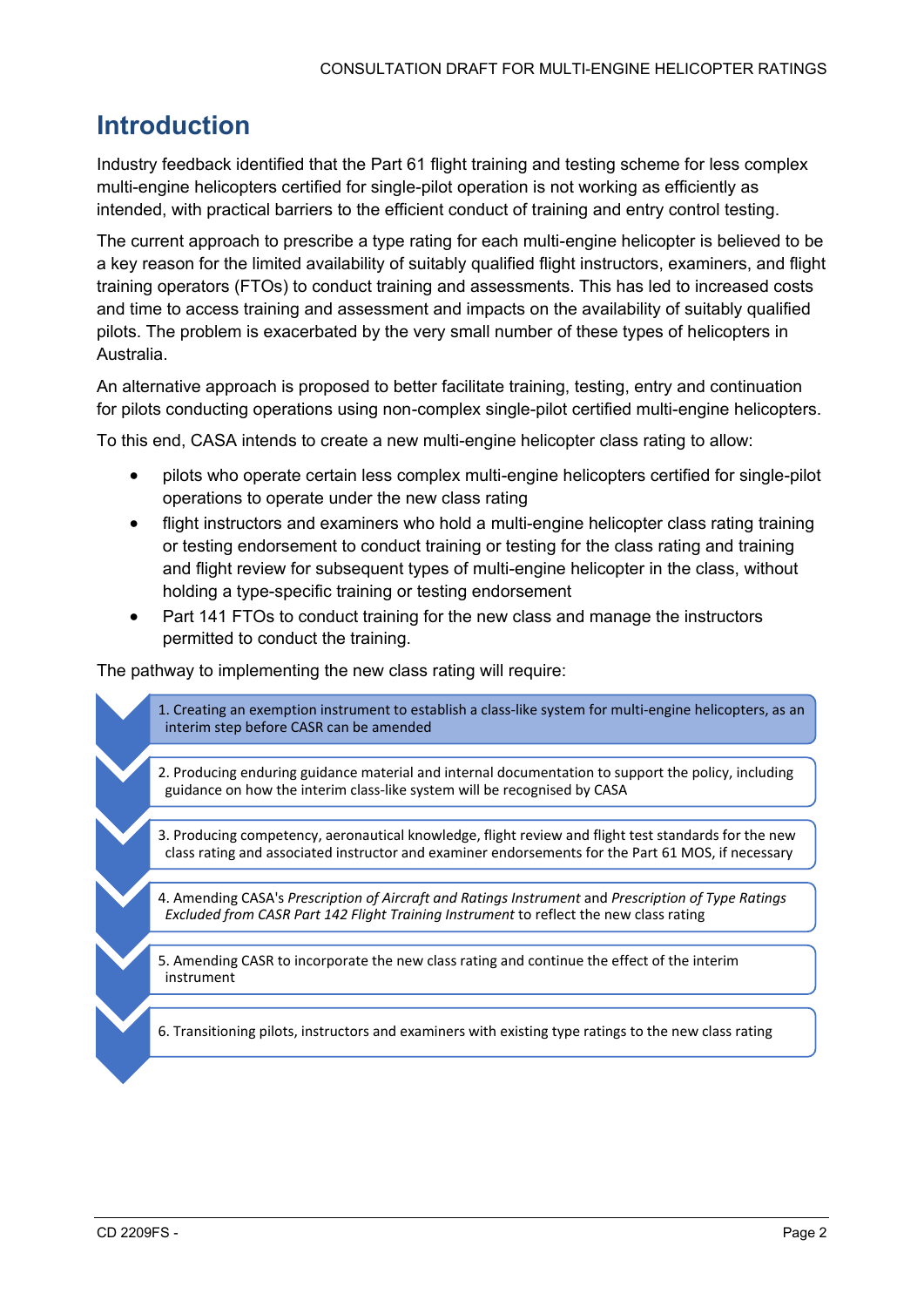### <span id="page-1-0"></span>**Introduction**

Industry feedback identified that the Part 61 flight training and testing scheme for less complex multi-engine helicopters certified for single-pilot operation is not working as efficiently as intended, with practical barriers to the efficient conduct of training and entry control testing.

The current approach to prescribe a type rating for each multi-engine helicopter is believed to be a key reason for the limited availability of suitably qualified flight instructors, examiners, and flight training operators (FTOs) to conduct training and assessments. This has led to increased costs and time to access training and assessment and impacts on the availability of suitably qualified pilots. The problem is exacerbated by the very small number of these types of helicopters in Australia.

An alternative approach is proposed to better facilitate training, testing, entry and continuation for pilots conducting operations using non-complex single-pilot certified multi-engine helicopters.

To this end, CASA intends to create a new multi-engine helicopter class rating to allow:

- pilots who operate certain less complex multi-engine helicopters certified for single-pilot operations to operate under the new class rating
- flight instructors and examiners who hold a multi-engine helicopter class rating training or testing endorsement to conduct training or testing for the class rating and training and flight review for subsequent types of multi-engine helicopter in the class, without holding a type-specific training or testing endorsement
- Part 141 FTOs to conduct training for the new class and manage the instructors permitted to conduct the training.

The pathway to implementing the new class rating will require:

1. Creating an exemption instrument to establish a class-like system for multi-engine helicopters, as an interim step before CASR can be amended

- 2. Producing enduring guidance material and internal documentation to support the policy, including guidance on how the interim class-like system will be recognised by CASA
- 3. Producing competency, aeronautical knowledge, flight review and flight test standards for the new class rating and associated instructor and examiner endorsements for the Part 61 MOS, if necessary
- 4. Amending CASA's *Prescription of Aircraft and Ratings Instrument* and *Prescription of Type Ratings Excluded from CASR Part 142 Flight Training Instrument* to reflect the new class rating
- 5. Amending CASR to incorporate the new class rating and continue the effect of the interim instrument

6. Transitioning pilots, instructors and examiners with existing type ratings to the new class rating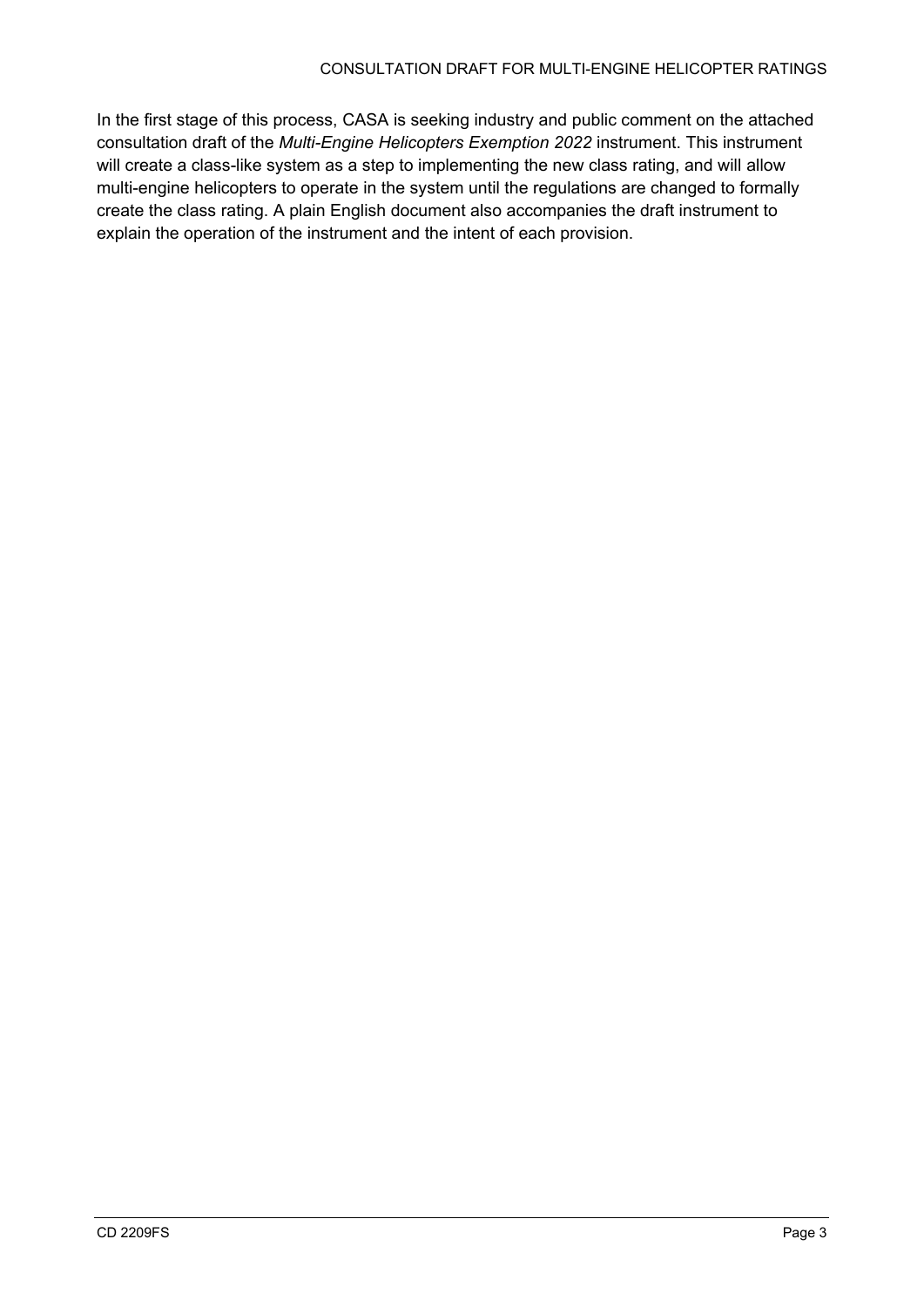In the first stage of this process, CASA is seeking industry and public comment on the attached consultation draft of the *Multi-Engine Helicopters Exemption 2022* instrument. This instrument will create a class-like system as a step to implementing the new class rating, and will allow multi-engine helicopters to operate in the system until the regulations are changed to formally create the class rating. A plain English document also accompanies the draft instrument to explain the operation of the instrument and the intent of each provision.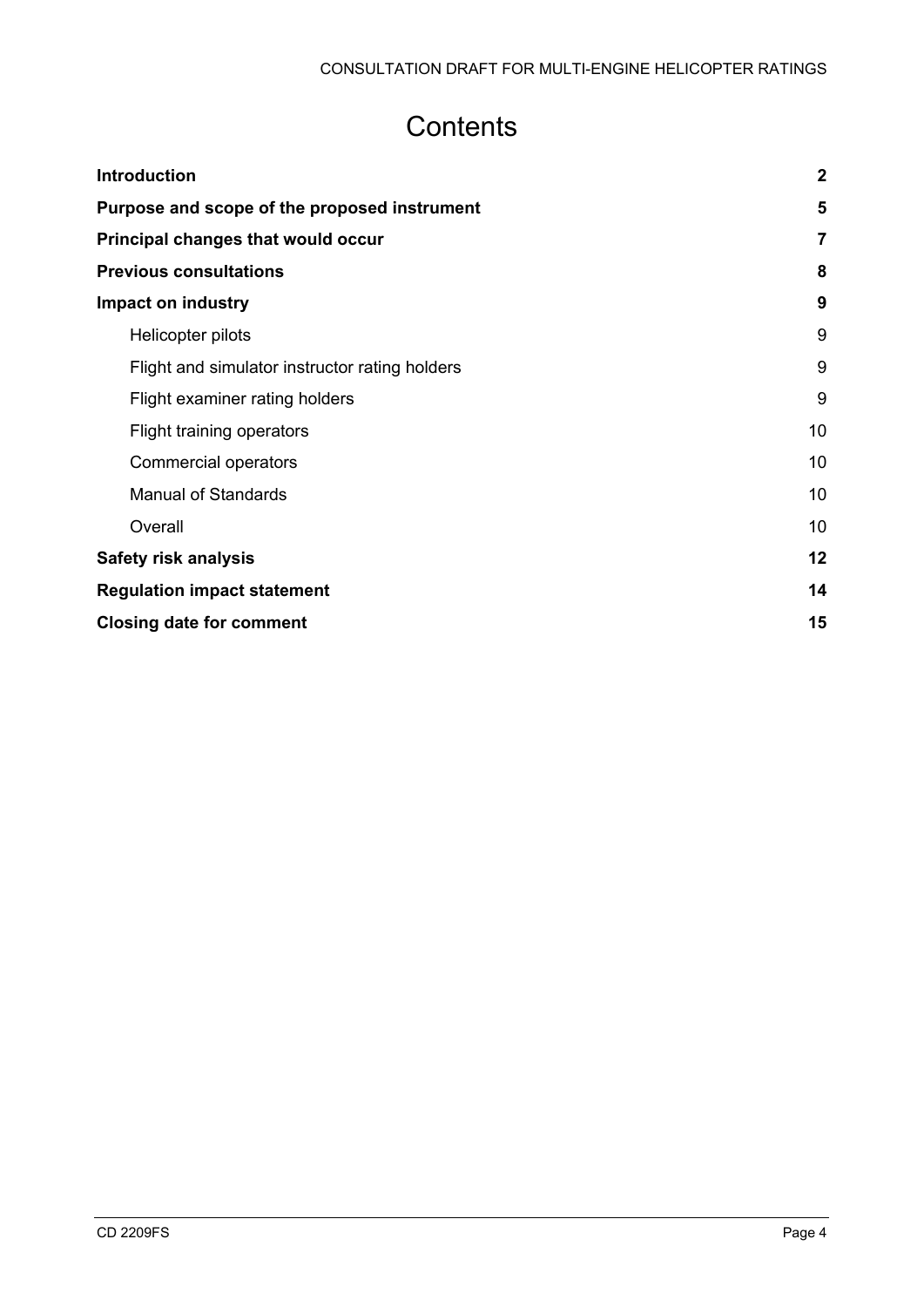## **Contents**

| <b>Introduction</b>                            | $\overline{2}$ |
|------------------------------------------------|----------------|
| Purpose and scope of the proposed instrument   | 5              |
| Principal changes that would occur             | $\overline{7}$ |
| <b>Previous consultations</b>                  | 8              |
| Impact on industry                             | 9              |
| Helicopter pilots                              | 9              |
| Flight and simulator instructor rating holders | 9              |
| Flight examiner rating holders                 | 9              |
| Flight training operators                      | 10             |
| <b>Commercial operators</b>                    | 10             |
| <b>Manual of Standards</b>                     | 10             |
| Overall                                        | 10             |
| <b>Safety risk analysis</b>                    | 12             |
| <b>Regulation impact statement</b>             | 14             |
| <b>Closing date for comment</b>                | 15             |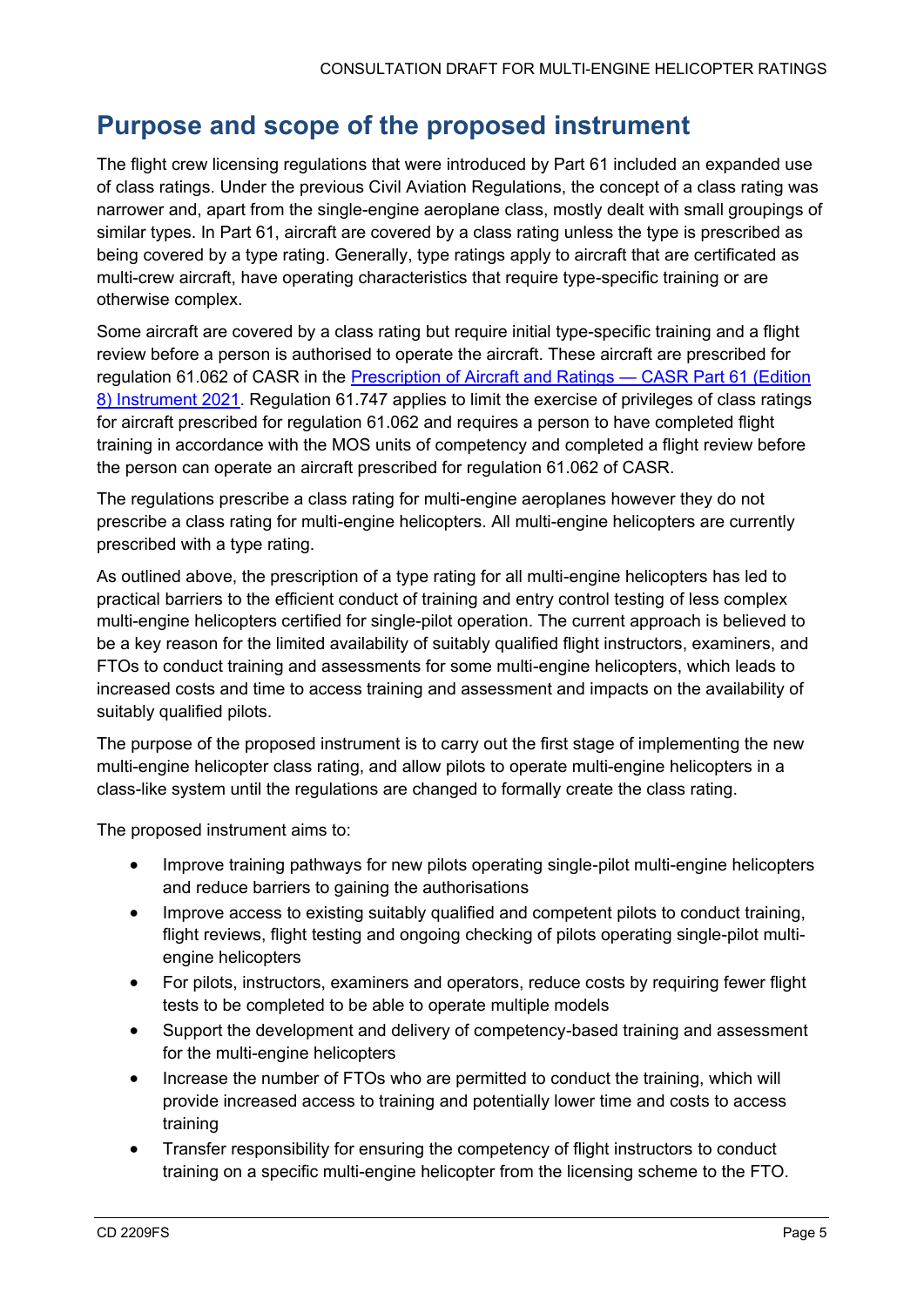### <span id="page-4-0"></span>**Purpose and scope of the proposed instrument**

The flight crew licensing regulations that were introduced by Part 61 included an expanded use of class ratings. Under the previous Civil Aviation Regulations, the concept of a class rating was narrower and, apart from the single-engine aeroplane class, mostly dealt with small groupings of similar types. In Part 61, aircraft are covered by a class rating unless the type is prescribed as being covered by a type rating. Generally, type ratings apply to aircraft that are certificated as multi-crew aircraft, have operating characteristics that require type-specific training or are otherwise complex.

Some aircraft are covered by a class rating but require initial type-specific training and a flight review before a person is authorised to operate the aircraft. These aircraft are prescribed for regulation 61.062 of CASR in the [Prescription of Aircraft and Ratings](https://www.legislation.gov.au/Details/F2021L00622) - CASR Part 61 (Edition [8\) Instrument 2021.](https://www.legislation.gov.au/Details/F2021L00622) Regulation 61.747 applies to limit the exercise of privileges of class ratings for aircraft prescribed for regulation 61.062 and requires a person to have completed flight training in accordance with the MOS units of competency and completed a flight review before the person can operate an aircraft prescribed for regulation 61.062 of CASR.

The regulations prescribe a class rating for multi-engine aeroplanes however they do not prescribe a class rating for multi-engine helicopters. All multi-engine helicopters are currently prescribed with a type rating.

As outlined above, the prescription of a type rating for all multi-engine helicopters has led to practical barriers to the efficient conduct of training and entry control testing of less complex multi-engine helicopters certified for single-pilot operation. The current approach is believed to be a key reason for the limited availability of suitably qualified flight instructors, examiners, and FTOs to conduct training and assessments for some multi-engine helicopters, which leads to increased costs and time to access training and assessment and impacts on the availability of suitably qualified pilots.

The purpose of the proposed instrument is to carry out the first stage of implementing the new multi-engine helicopter class rating, and allow pilots to operate multi-engine helicopters in a class-like system until the regulations are changed to formally create the class rating.

The proposed instrument aims to:

- Improve training pathways for new pilots operating single-pilot multi-engine helicopters and reduce barriers to gaining the authorisations
- Improve access to existing suitably qualified and competent pilots to conduct training, flight reviews, flight testing and ongoing checking of pilots operating single-pilot multiengine helicopters
- For pilots, instructors, examiners and operators, reduce costs by requiring fewer flight tests to be completed to be able to operate multiple models
- Support the development and delivery of competency-based training and assessment for the multi-engine helicopters
- Increase the number of FTOs who are permitted to conduct the training, which will provide increased access to training and potentially lower time and costs to access training
- Transfer responsibility for ensuring the competency of flight instructors to conduct training on a specific multi-engine helicopter from the licensing scheme to the FTO.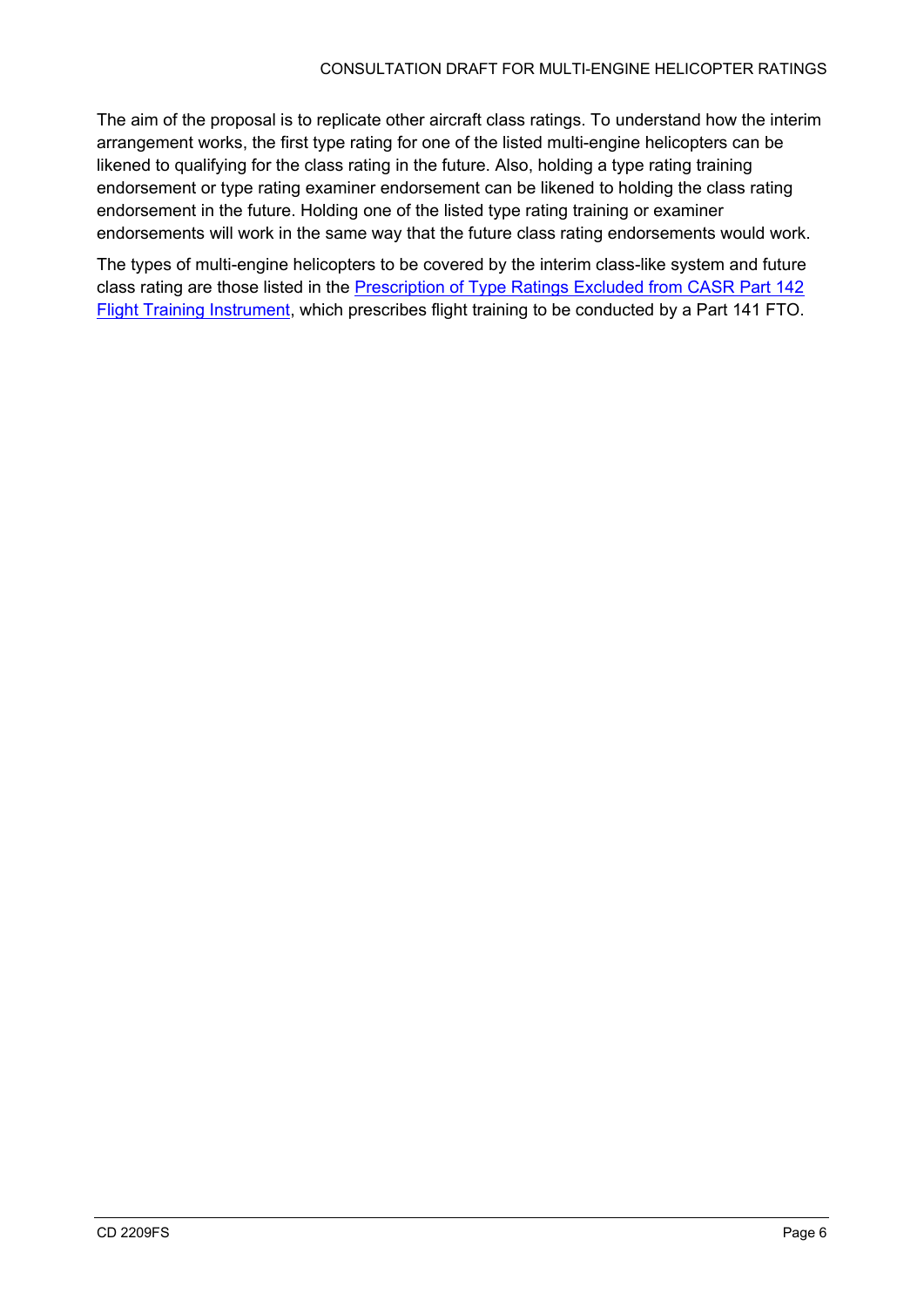The aim of the proposal is to replicate other aircraft class ratings. To understand how the interim arrangement works, the first type rating for one of the listed multi-engine helicopters can be likened to qualifying for the class rating in the future. Also, holding a type rating training endorsement or type rating examiner endorsement can be likened to holding the class rating endorsement in the future. Holding one of the listed type rating training or examiner endorsements will work in the same way that the future class rating endorsements would work.

The types of multi-engine helicopters to be covered by the interim class-like system and future class rating are those listed in the [Prescription of Type Ratings Excluded from CASR Part 142](https://www.legislation.gov.au/Details/F2018L00715)  [Flight Training Instrument,](https://www.legislation.gov.au/Details/F2018L00715) which prescribes flight training to be conducted by a Part 141 FTO.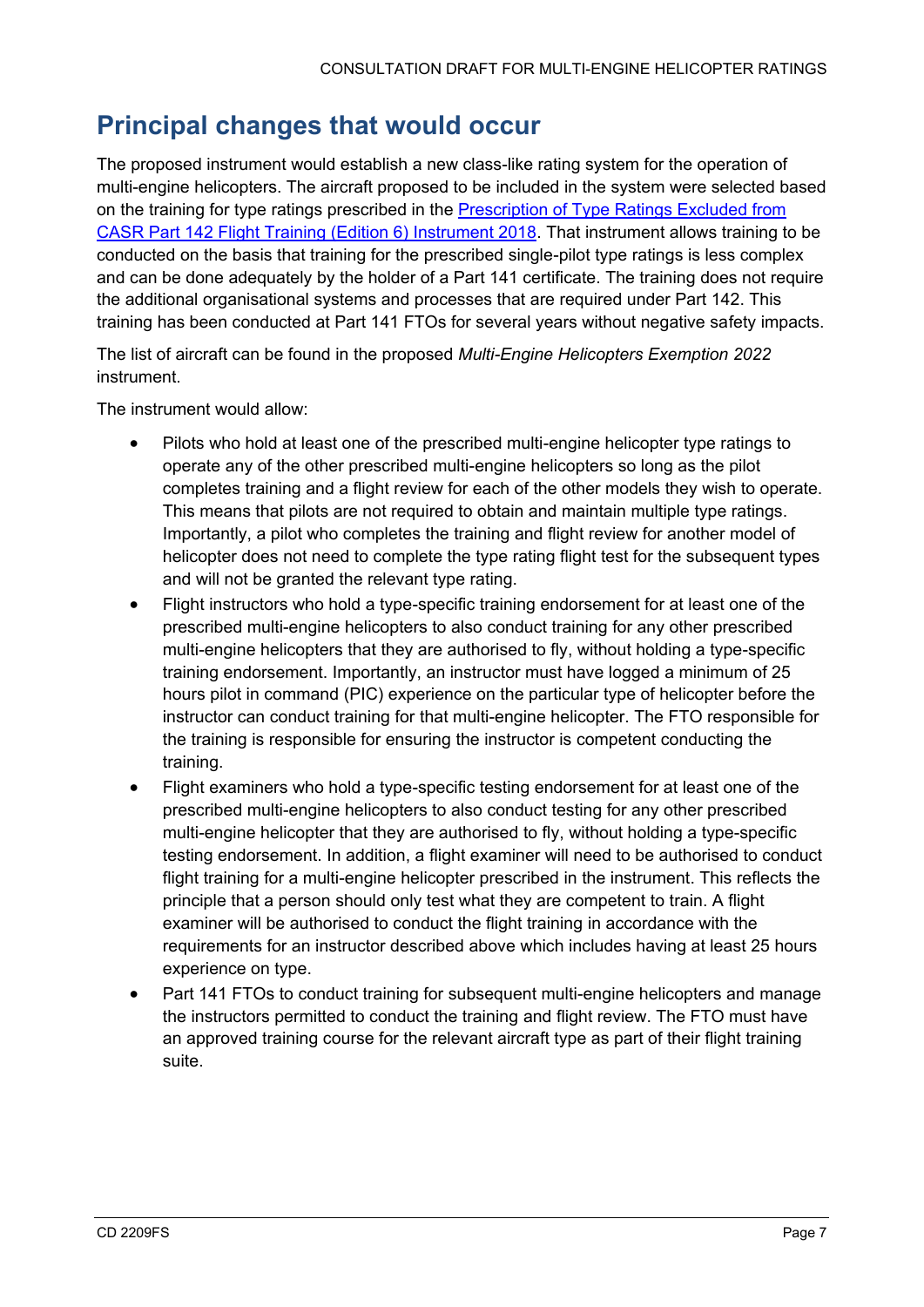## <span id="page-6-0"></span>**Principal changes that would occur**

The proposed instrument would establish a new class-like rating system for the operation of multi-engine helicopters. The aircraft proposed to be included in the system were selected based on the training for type ratings prescribed in the [Prescription of Type Ratings Excluded from](https://www.legislation.gov.au/Details/F2018L00715)  [CASR Part 142 Flight Training \(Edition 6\) Instrument 2018.](https://www.legislation.gov.au/Details/F2018L00715) That instrument allows training to be conducted on the basis that training for the prescribed single-pilot type ratings is less complex and can be done adequately by the holder of a Part 141 certificate. The training does not require the additional organisational systems and processes that are required under Part 142. This training has been conducted at Part 141 FTOs for several years without negative safety impacts.

The list of aircraft can be found in the proposed *Multi-Engine Helicopters Exemption 2022* instrument.

The instrument would allow:

- Pilots who hold at least one of the prescribed multi-engine helicopter type ratings to operate any of the other prescribed multi-engine helicopters so long as the pilot completes training and a flight review for each of the other models they wish to operate. This means that pilots are not required to obtain and maintain multiple type ratings. Importantly, a pilot who completes the training and flight review for another model of helicopter does not need to complete the type rating flight test for the subsequent types and will not be granted the relevant type rating.
- Flight instructors who hold a type-specific training endorsement for at least one of the prescribed multi-engine helicopters to also conduct training for any other prescribed multi-engine helicopters that they are authorised to fly, without holding a type-specific training endorsement. Importantly, an instructor must have logged a minimum of 25 hours pilot in command (PIC) experience on the particular type of helicopter before the instructor can conduct training for that multi-engine helicopter. The FTO responsible for the training is responsible for ensuring the instructor is competent conducting the training.
- Flight examiners who hold a type-specific testing endorsement for at least one of the prescribed multi-engine helicopters to also conduct testing for any other prescribed multi-engine helicopter that they are authorised to fly, without holding a type-specific testing endorsement. In addition, a flight examiner will need to be authorised to conduct flight training for a multi-engine helicopter prescribed in the instrument. This reflects the principle that a person should only test what they are competent to train. A flight examiner will be authorised to conduct the flight training in accordance with the requirements for an instructor described above which includes having at least 25 hours experience on type.
- Part 141 FTOs to conduct training for subsequent multi-engine helicopters and manage the instructors permitted to conduct the training and flight review. The FTO must have an approved training course for the relevant aircraft type as part of their flight training suite.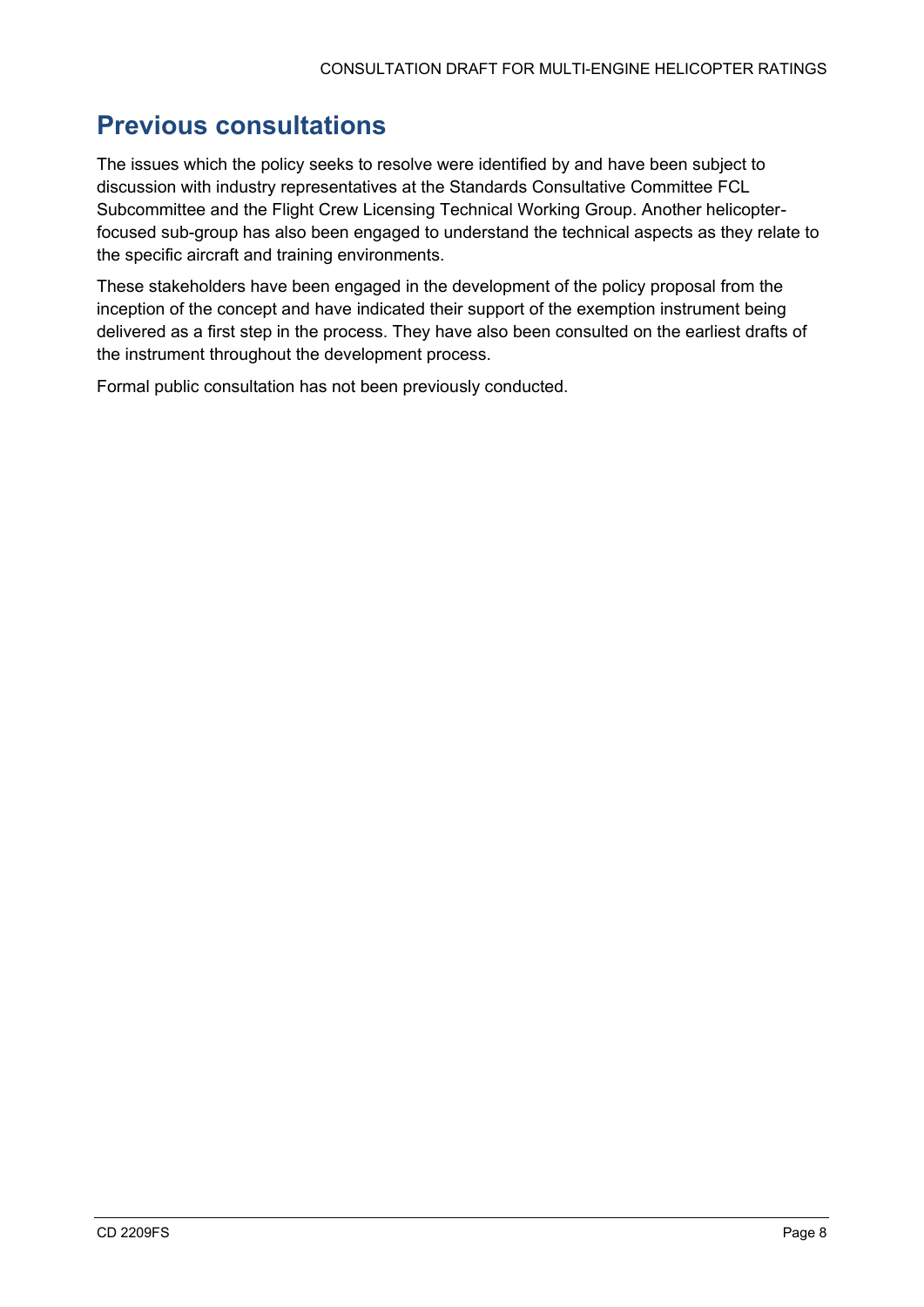## <span id="page-7-0"></span>**Previous consultations**

The issues which the policy seeks to resolve were identified by and have been subject to discussion with industry representatives at the Standards Consultative Committee FCL Subcommittee and the Flight Crew Licensing Technical Working Group. Another helicopterfocused sub-group has also been engaged to understand the technical aspects as they relate to the specific aircraft and training environments.

These stakeholders have been engaged in the development of the policy proposal from the inception of the concept and have indicated their support of the exemption instrument being delivered as a first step in the process. They have also been consulted on the earliest drafts of the instrument throughout the development process.

Formal public consultation has not been previously conducted.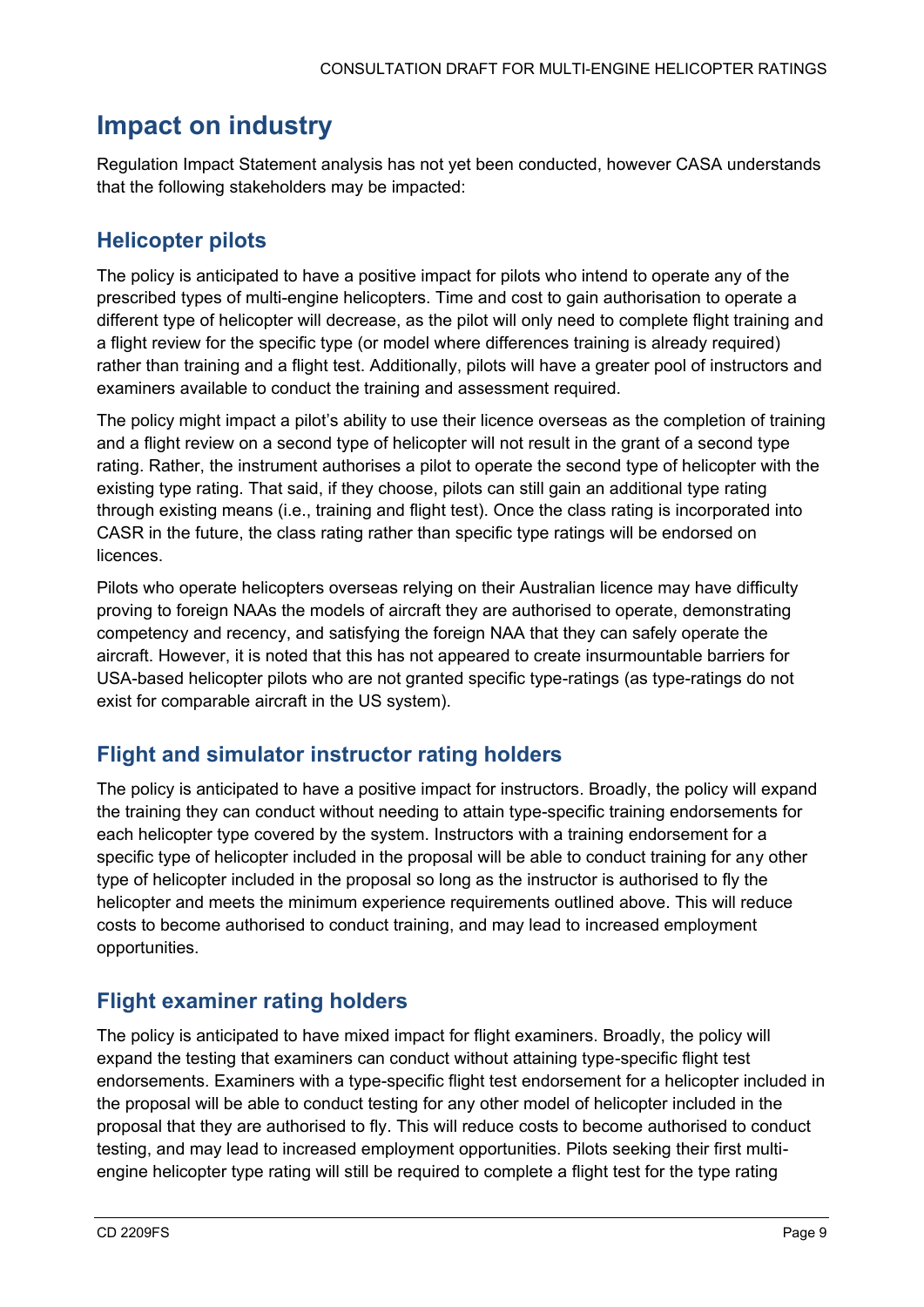## <span id="page-8-0"></span>**Impact on industry**

Regulation Impact Statement analysis has not yet been conducted, however CASA understands that the following stakeholders may be impacted:

#### <span id="page-8-1"></span>**Helicopter pilots**

The policy is anticipated to have a positive impact for pilots who intend to operate any of the prescribed types of multi-engine helicopters. Time and cost to gain authorisation to operate a different type of helicopter will decrease, as the pilot will only need to complete flight training and a flight review for the specific type (or model where differences training is already required) rather than training and a flight test. Additionally, pilots will have a greater pool of instructors and examiners available to conduct the training and assessment required.

The policy might impact a pilot's ability to use their licence overseas as the completion of training and a flight review on a second type of helicopter will not result in the grant of a second type rating. Rather, the instrument authorises a pilot to operate the second type of helicopter with the existing type rating. That said, if they choose, pilots can still gain an additional type rating through existing means (i.e., training and flight test). Once the class rating is incorporated into CASR in the future, the class rating rather than specific type ratings will be endorsed on licences.

Pilots who operate helicopters overseas relying on their Australian licence may have difficulty proving to foreign NAAs the models of aircraft they are authorised to operate, demonstrating competency and recency, and satisfying the foreign NAA that they can safely operate the aircraft. However, it is noted that this has not appeared to create insurmountable barriers for USA-based helicopter pilots who are not granted specific type-ratings (as type-ratings do not exist for comparable aircraft in the US system).

#### <span id="page-8-2"></span>**Flight and simulator instructor rating holders**

The policy is anticipated to have a positive impact for instructors. Broadly, the policy will expand the training they can conduct without needing to attain type-specific training endorsements for each helicopter type covered by the system. Instructors with a training endorsement for a specific type of helicopter included in the proposal will be able to conduct training for any other type of helicopter included in the proposal so long as the instructor is authorised to fly the helicopter and meets the minimum experience requirements outlined above. This will reduce costs to become authorised to conduct training, and may lead to increased employment opportunities.

#### <span id="page-8-3"></span>**Flight examiner rating holders**

The policy is anticipated to have mixed impact for flight examiners. Broadly, the policy will expand the testing that examiners can conduct without attaining type-specific flight test endorsements. Examiners with a type-specific flight test endorsement for a helicopter included in the proposal will be able to conduct testing for any other model of helicopter included in the proposal that they are authorised to fly. This will reduce costs to become authorised to conduct testing, and may lead to increased employment opportunities. Pilots seeking their first multiengine helicopter type rating will still be required to complete a flight test for the type rating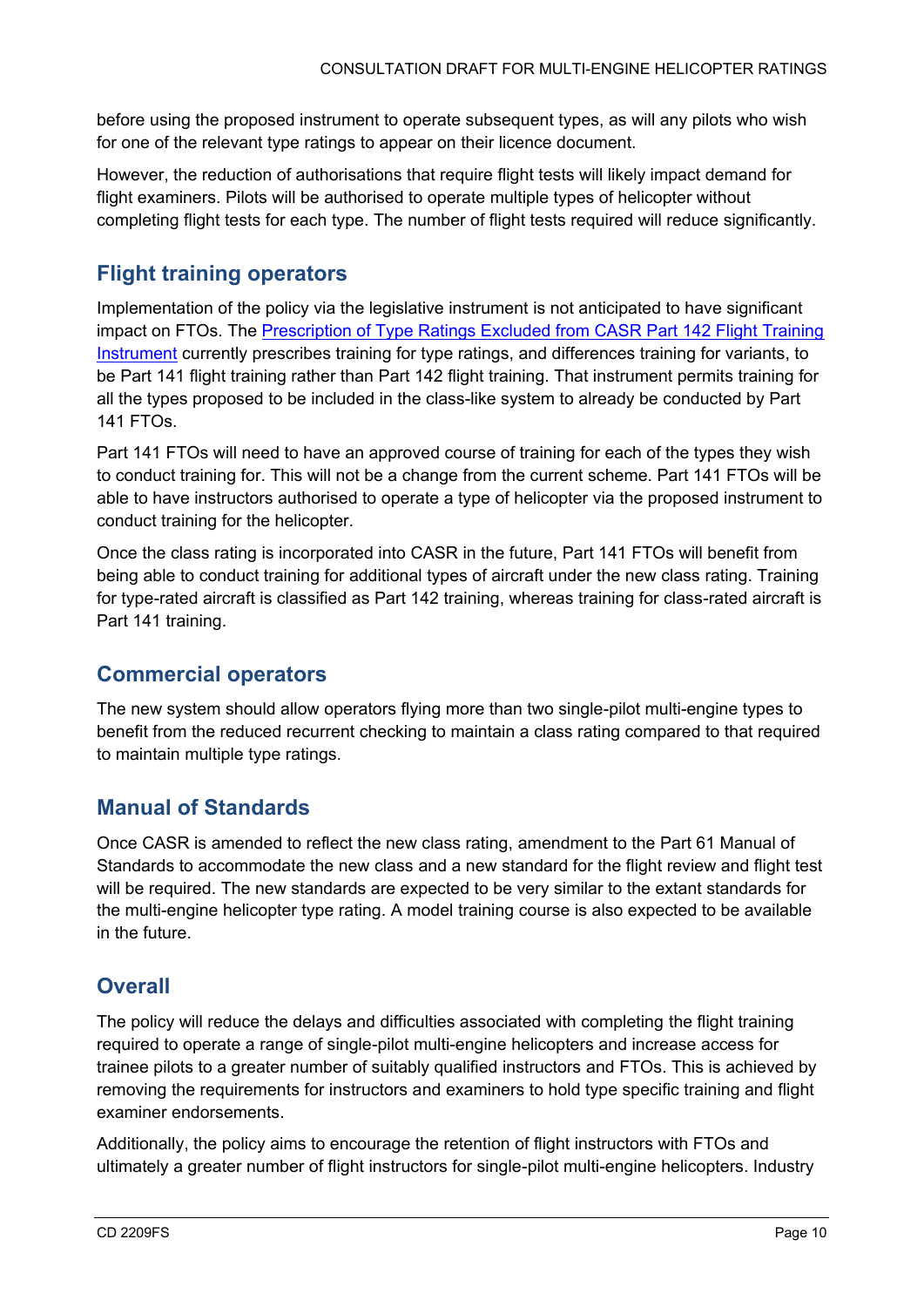before using the proposed instrument to operate subsequent types, as will any pilots who wish for one of the relevant type ratings to appear on their licence document.

However, the reduction of authorisations that require flight tests will likely impact demand for flight examiners. Pilots will be authorised to operate multiple types of helicopter without completing flight tests for each type. The number of flight tests required will reduce significantly.

#### <span id="page-9-0"></span>**Flight training operators**

Implementation of the policy via the legislative instrument is not anticipated to have significant impact on FTOs. The [Prescription of Type Ratings Excluded from CASR Part 142 Flight Training](https://www.legislation.gov.au/Details/F2018L00715)  [Instrument](https://www.legislation.gov.au/Details/F2018L00715) currently prescribes training for type ratings, and differences training for variants, to be Part 141 flight training rather than Part 142 flight training. That instrument permits training for all the types proposed to be included in the class-like system to already be conducted by Part 141 FTOs.

Part 141 FTOs will need to have an approved course of training for each of the types they wish to conduct training for. This will not be a change from the current scheme. Part 141 FTOs will be able to have instructors authorised to operate a type of helicopter via the proposed instrument to conduct training for the helicopter.

Once the class rating is incorporated into CASR in the future, Part 141 FTOs will benefit from being able to conduct training for additional types of aircraft under the new class rating. Training for type-rated aircraft is classified as Part 142 training, whereas training for class-rated aircraft is Part 141 training.

#### <span id="page-9-1"></span>**Commercial operators**

The new system should allow operators flying more than two single-pilot multi-engine types to benefit from the reduced recurrent checking to maintain a class rating compared to that required to maintain multiple type ratings.

#### <span id="page-9-2"></span>**Manual of Standards**

Once CASR is amended to reflect the new class rating, amendment to the Part 61 Manual of Standards to accommodate the new class and a new standard for the flight review and flight test will be required. The new standards are expected to be very similar to the extant standards for the multi-engine helicopter type rating. A model training course is also expected to be available in the future.

#### <span id="page-9-3"></span>**Overall**

The policy will reduce the delays and difficulties associated with completing the flight training required to operate a range of single-pilot multi-engine helicopters and increase access for trainee pilots to a greater number of suitably qualified instructors and FTOs. This is achieved by removing the requirements for instructors and examiners to hold type specific training and flight examiner endorsements.

Additionally, the policy aims to encourage the retention of flight instructors with FTOs and ultimately a greater number of flight instructors for single-pilot multi-engine helicopters. Industry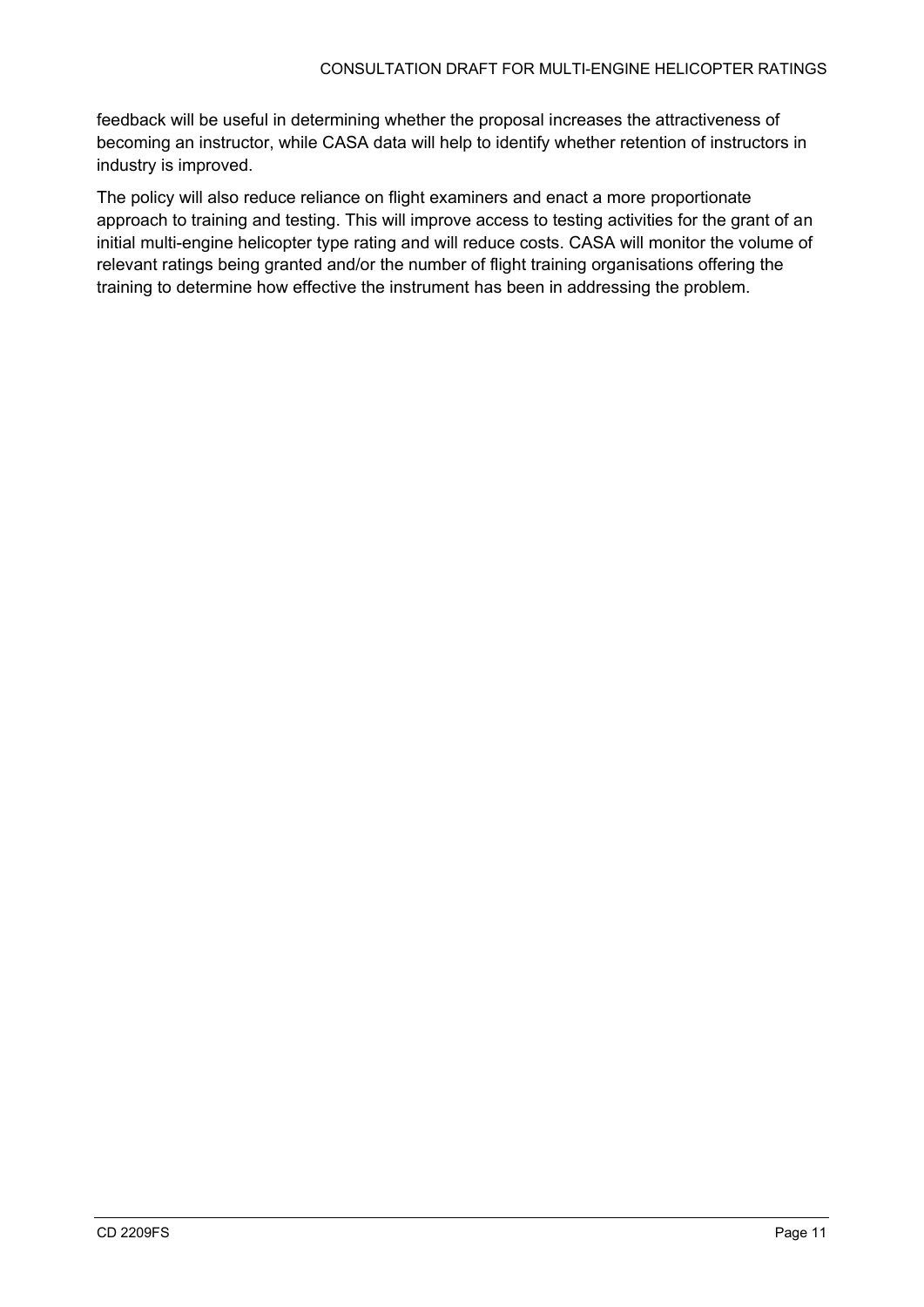feedback will be useful in determining whether the proposal increases the attractiveness of becoming an instructor, while CASA data will help to identify whether retention of instructors in industry is improved.

The policy will also reduce reliance on flight examiners and enact a more proportionate approach to training and testing. This will improve access to testing activities for the grant of an initial multi-engine helicopter type rating and will reduce costs. CASA will monitor the volume of relevant ratings being granted and/or the number of flight training organisations offering the training to determine how effective the instrument has been in addressing the problem.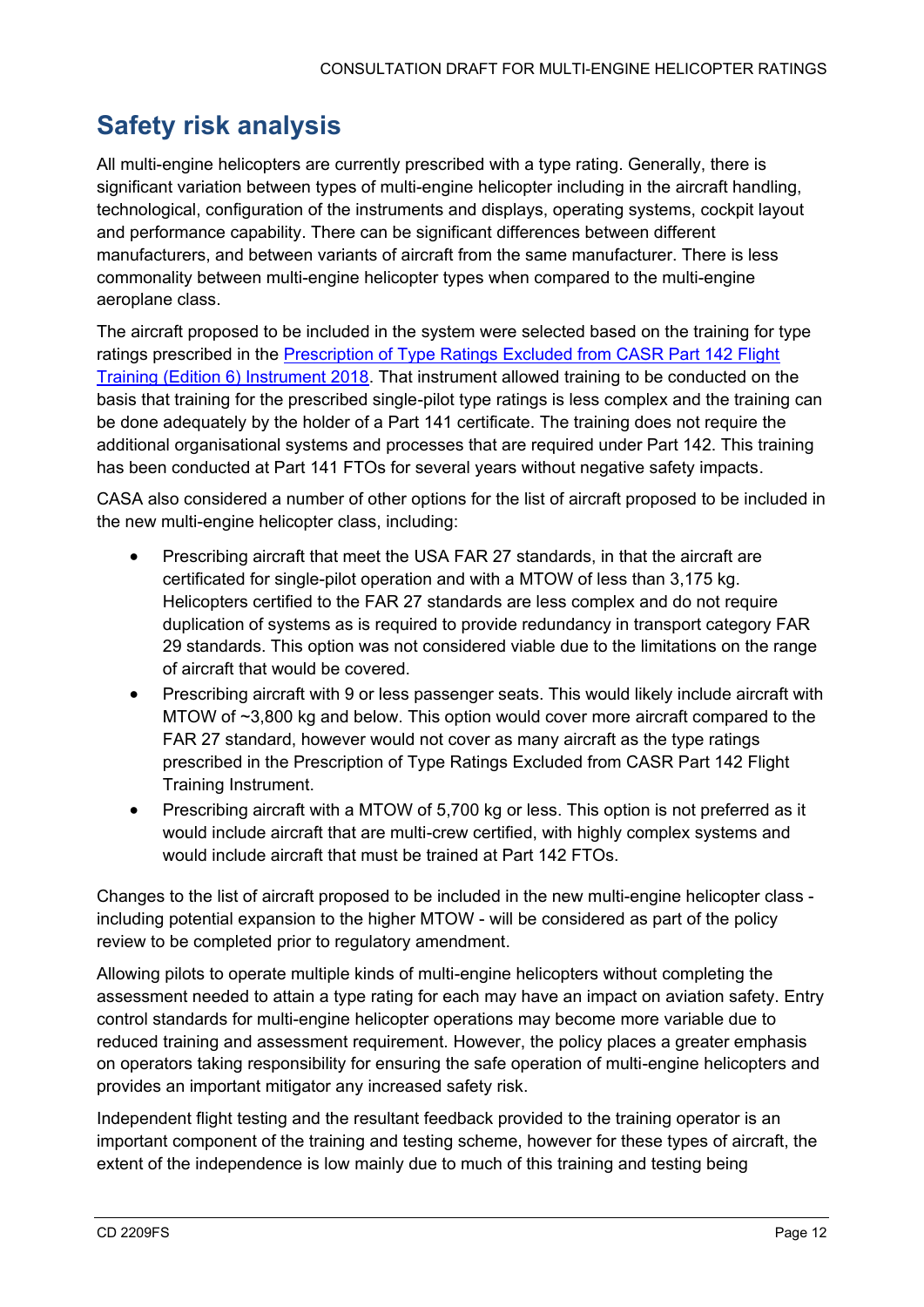## <span id="page-11-0"></span>**Safety risk analysis**

All multi-engine helicopters are currently prescribed with a type rating. Generally, there is significant variation between types of multi-engine helicopter including in the aircraft handling, technological, configuration of the instruments and displays, operating systems, cockpit layout and performance capability. There can be significant differences between different manufacturers, and between variants of aircraft from the same manufacturer. There is less commonality between multi-engine helicopter types when compared to the multi-engine aeroplane class.

The aircraft proposed to be included in the system were selected based on the training for type ratings prescribed in the [Prescription of Type Ratings Excluded from CASR Part 142 Flight](https://www.legislation.gov.au/Details/F2018L00715)  [Training \(Edition 6\) Instrument 2018.](https://www.legislation.gov.au/Details/F2018L00715) That instrument allowed training to be conducted on the basis that training for the prescribed single-pilot type ratings is less complex and the training can be done adequately by the holder of a Part 141 certificate. The training does not require the additional organisational systems and processes that are required under Part 142. This training has been conducted at Part 141 FTOs for several years without negative safety impacts.

CASA also considered a number of other options for the list of aircraft proposed to be included in the new multi-engine helicopter class, including:

- Prescribing aircraft that meet the USA FAR 27 standards, in that the aircraft are certificated for single-pilot operation and with a MTOW of less than 3,175 kg. Helicopters certified to the FAR 27 standards are less complex and do not require duplication of systems as is required to provide redundancy in transport category FAR 29 standards. This option was not considered viable due to the limitations on the range of aircraft that would be covered.
- Prescribing aircraft with 9 or less passenger seats. This would likely include aircraft with MTOW of ~3,800 kg and below. This option would cover more aircraft compared to the FAR 27 standard, however would not cover as many aircraft as the type ratings prescribed in the Prescription of Type Ratings Excluded from CASR Part 142 Flight Training Instrument.
- Prescribing aircraft with a MTOW of 5,700 kg or less. This option is not preferred as it would include aircraft that are multi-crew certified, with highly complex systems and would include aircraft that must be trained at Part 142 FTOs.

Changes to the list of aircraft proposed to be included in the new multi-engine helicopter class including potential expansion to the higher MTOW - will be considered as part of the policy review to be completed prior to regulatory amendment.

Allowing pilots to operate multiple kinds of multi-engine helicopters without completing the assessment needed to attain a type rating for each may have an impact on aviation safety. Entry control standards for multi-engine helicopter operations may become more variable due to reduced training and assessment requirement. However, the policy places a greater emphasis on operators taking responsibility for ensuring the safe operation of multi-engine helicopters and provides an important mitigator any increased safety risk.

Independent flight testing and the resultant feedback provided to the training operator is an important component of the training and testing scheme, however for these types of aircraft, the extent of the independence is low mainly due to much of this training and testing being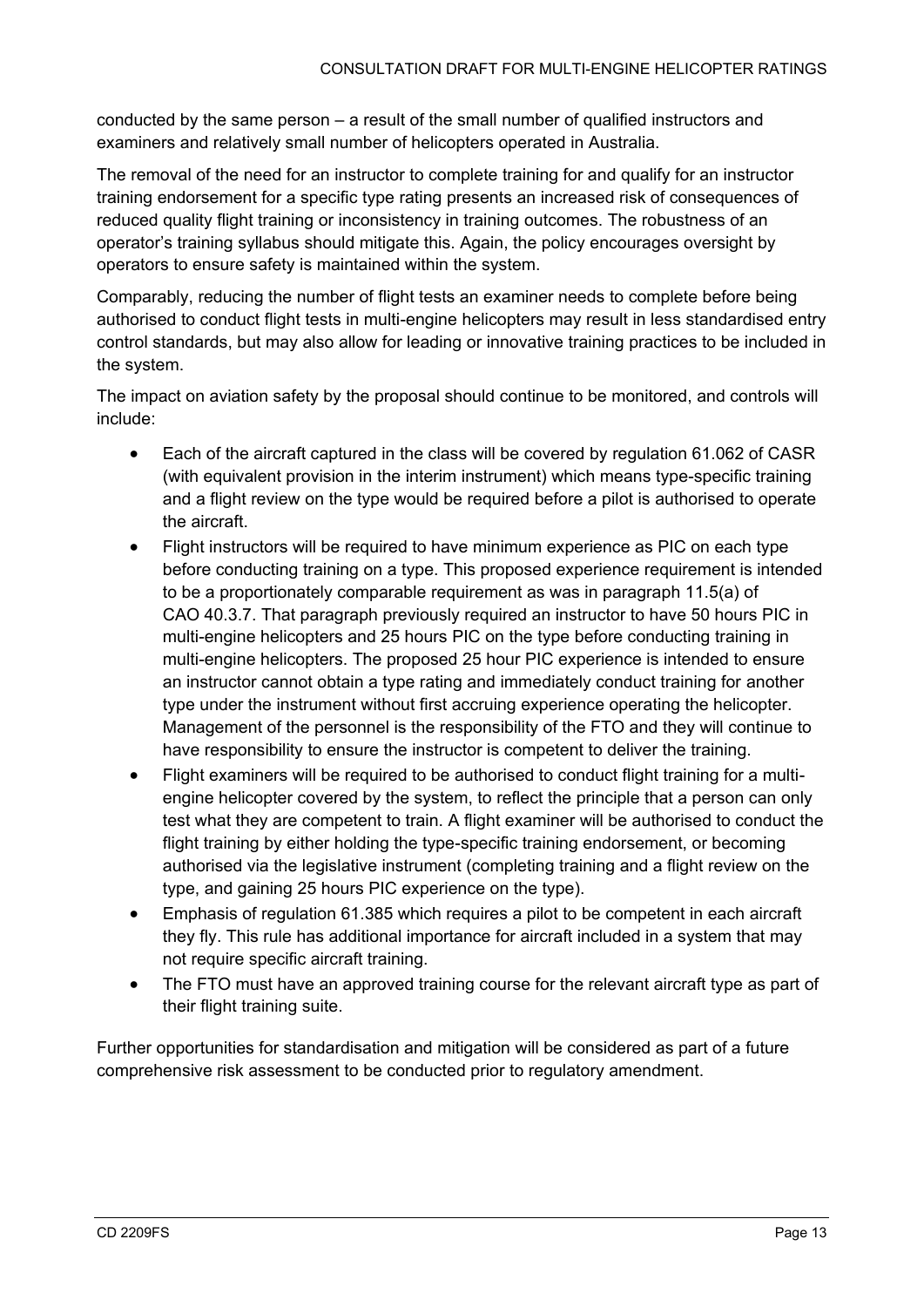conducted by the same person – a result of the small number of qualified instructors and examiners and relatively small number of helicopters operated in Australia.

The removal of the need for an instructor to complete training for and qualify for an instructor training endorsement for a specific type rating presents an increased risk of consequences of reduced quality flight training or inconsistency in training outcomes. The robustness of an operator's training syllabus should mitigate this. Again, the policy encourages oversight by operators to ensure safety is maintained within the system.

Comparably, reducing the number of flight tests an examiner needs to complete before being authorised to conduct flight tests in multi-engine helicopters may result in less standardised entry control standards, but may also allow for leading or innovative training practices to be included in the system.

The impact on aviation safety by the proposal should continue to be monitored, and controls will include:

- Each of the aircraft captured in the class will be covered by regulation 61.062 of CASR (with equivalent provision in the interim instrument) which means type-specific training and a flight review on the type would be required before a pilot is authorised to operate the aircraft.
- Flight instructors will be required to have minimum experience as PIC on each type before conducting training on a type. This proposed experience requirement is intended to be a proportionately comparable requirement as was in paragraph 11.5(a) of CAO 40.3.7. That paragraph previously required an instructor to have 50 hours PIC in multi-engine helicopters and 25 hours PIC on the type before conducting training in multi-engine helicopters. The proposed 25 hour PIC experience is intended to ensure an instructor cannot obtain a type rating and immediately conduct training for another type under the instrument without first accruing experience operating the helicopter. Management of the personnel is the responsibility of the FTO and they will continue to have responsibility to ensure the instructor is competent to deliver the training.
- Flight examiners will be required to be authorised to conduct flight training for a multiengine helicopter covered by the system, to reflect the principle that a person can only test what they are competent to train. A flight examiner will be authorised to conduct the flight training by either holding the type-specific training endorsement, or becoming authorised via the legislative instrument (completing training and a flight review on the type, and gaining 25 hours PIC experience on the type).
- Emphasis of regulation 61.385 which requires a pilot to be competent in each aircraft they fly. This rule has additional importance for aircraft included in a system that may not require specific aircraft training.
- The FTO must have an approved training course for the relevant aircraft type as part of their flight training suite.

Further opportunities for standardisation and mitigation will be considered as part of a future comprehensive risk assessment to be conducted prior to regulatory amendment.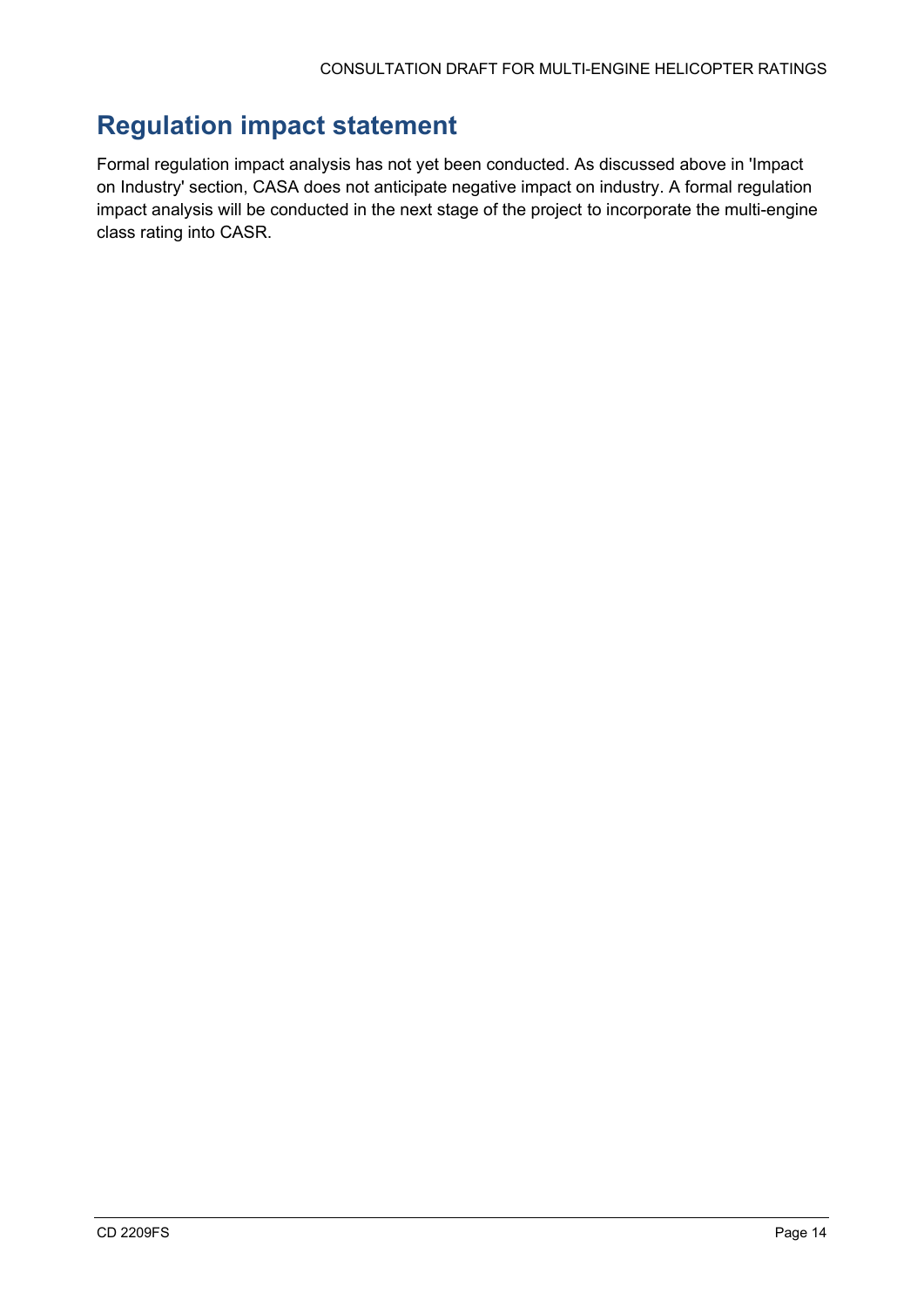## <span id="page-13-0"></span>**Regulation impact statement**

Formal regulation impact analysis has not yet been conducted. As discussed above in 'Impact on Industry' section, CASA does not anticipate negative impact on industry. A formal regulation impact analysis will be conducted in the next stage of the project to incorporate the multi-engine class rating into CASR.